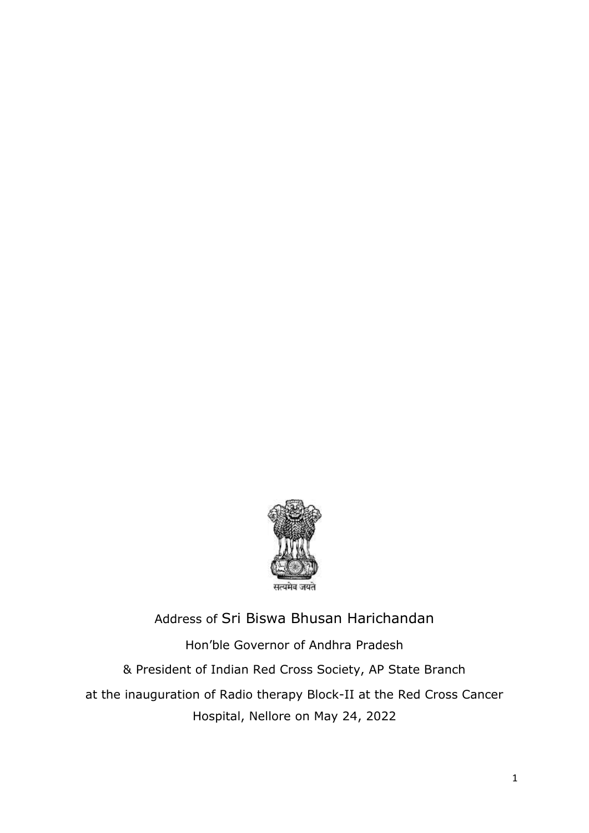

## Address of Sri Biswa Bhusan Harichandan Hon'ble Governor of Andhra Pradesh & President of Indian Red Cross Society, AP State Branch at the inauguration of Radio therapy Block-II at the Red Cross Cancer Hospital, Nellore on May 24, 2022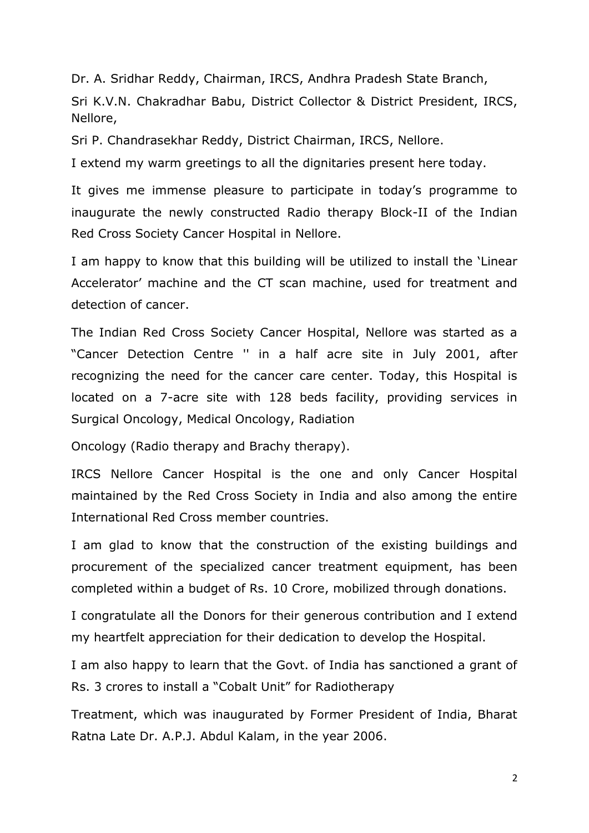Dr. A. Sridhar Reddy, Chairman, IRCS, Andhra Pradesh State Branch, Sri K.V.N. Chakradhar Babu, District Collector & District President, IRCS, Nellore,

Sri P. Chandrasekhar Reddy, District Chairman, IRCS, Nellore.

I extend my warm greetings to all the dignitaries present here today.

It gives me immense pleasure to participate in today's programme to inaugurate the newly constructed Radio therapy Block-II of the Indian Red Cross Society Cancer Hospital in Nellore.

I am happy to know that this building will be utilized to install the 'Linear Accelerator' machine and the CT scan machine, used for treatment and detection of cancer.

The Indian Red Cross Society Cancer Hospital, Nellore was started as a "Cancer Detection Centre '' in a half acre site in July 2001, after recognizing the need for the cancer care center. Today, this Hospital is located on a 7-acre site with 128 beds facility, providing services in Surgical Oncology, Medical Oncology, Radiation

Oncology (Radio therapy and Brachy therapy).

IRCS Nellore Cancer Hospital is the one and only Cancer Hospital maintained by the Red Cross Society in India and also among the entire International Red Cross member countries.

I am glad to know that the construction of the existing buildings and procurement of the specialized cancer treatment equipment, has been completed within a budget of Rs. 10 Crore, mobilized through donations.

I congratulate all the Donors for their generous contribution and I extend my heartfelt appreciation for their dedication to develop the Hospital.

I am also happy to learn that the Govt. of India has sanctioned a grant of Rs. 3 crores to install a "Cobalt Unit" for Radiotherapy

Treatment, which was inaugurated by Former President of India, Bharat Ratna Late Dr. A.P.J. Abdul Kalam, in the year 2006.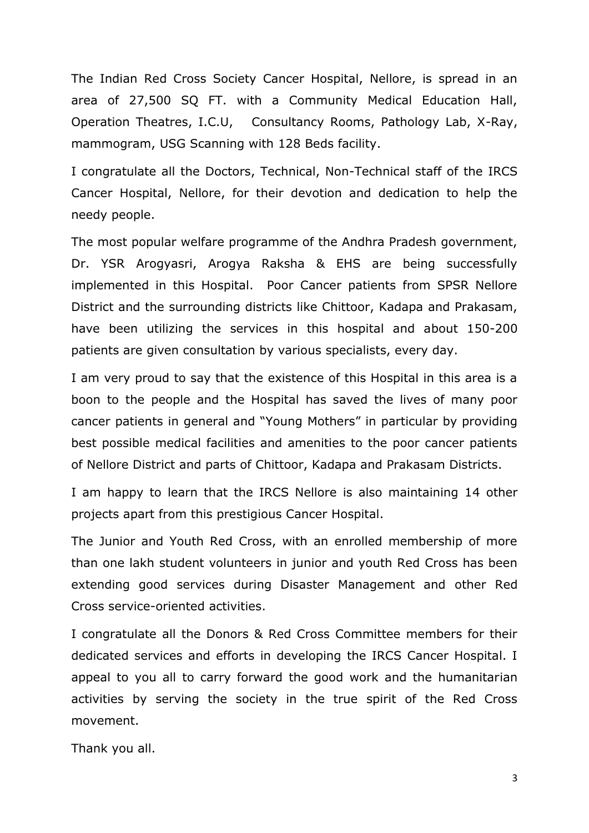The Indian Red Cross Society Cancer Hospital, Nellore, is spread in an area of 27,500 SQ FT. with a Community Medical Education Hall, Operation Theatres, I.C.U, Consultancy Rooms, Pathology Lab, X-Ray, mammogram, USG Scanning with 128 Beds facility.

I congratulate all the Doctors, Technical, Non-Technical staff of the IRCS Cancer Hospital, Nellore, for their devotion and dedication to help the needy people.

The most popular welfare programme of the Andhra Pradesh government, Dr. YSR Arogyasri, Arogya Raksha & EHS are being successfully implemented in this Hospital. Poor Cancer patients from SPSR Nellore District and the surrounding districts like Chittoor, Kadapa and Prakasam, have been utilizing the services in this hospital and about 150-200 patients are given consultation by various specialists, every day.

I am very proud to say that the existence of this Hospital in this area is a boon to the people and the Hospital has saved the lives of many poor cancer patients in general and "Young Mothers" in particular by providing best possible medical facilities and amenities to the poor cancer patients of Nellore District and parts of Chittoor, Kadapa and Prakasam Districts.

I am happy to learn that the IRCS Nellore is also maintaining 14 other projects apart from this prestigious Cancer Hospital.

The Junior and Youth Red Cross, with an enrolled membership of more than one lakh student volunteers in junior and youth Red Cross has been extending good services during Disaster Management and other Red Cross service-oriented activities.

I congratulate all the Donors & Red Cross Committee members for their dedicated services and efforts in developing the IRCS Cancer Hospital. I appeal to you all to carry forward the good work and the humanitarian activities by serving the society in the true spirit of the Red Cross movement.

Thank you all.